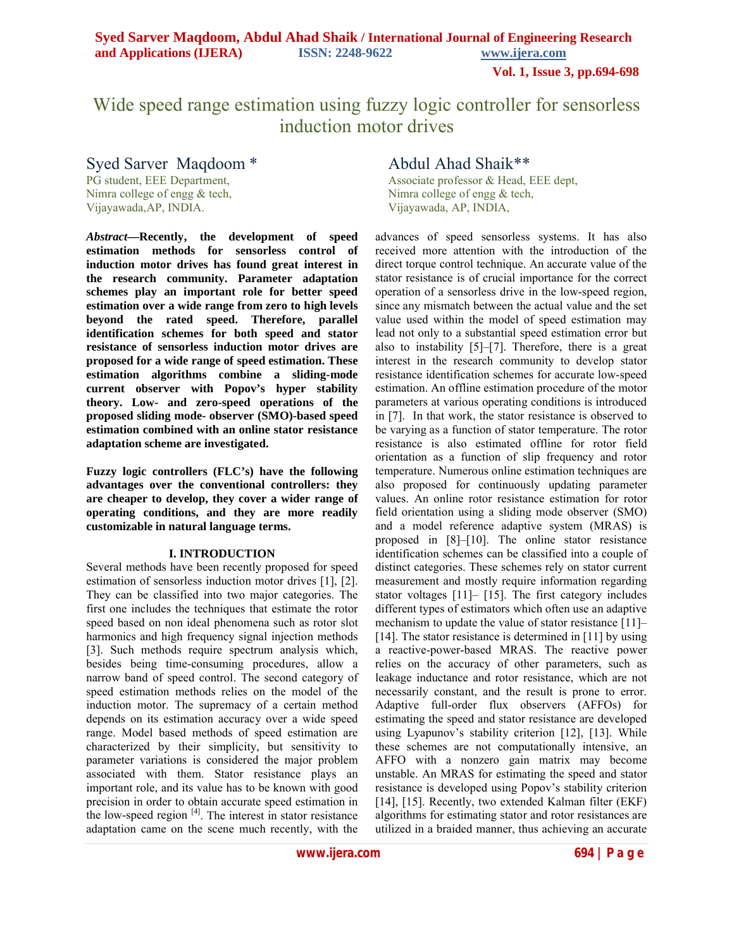**Vol. 1, Issue 3, pp.694-698**

# Wide speed range estimation using fuzzy logic controller for sensorless induction motor drives

Syed Sarver Maqdoom \* Abdul Ahad Shaik\*\*<br>PG student. EEE Department. Associate professor & Head. Nimra college of engg & tech, Nimra college of engg & tech,

*Abstract***—Recently, the development of speed estimation methods for sensorless control of induction motor drives has found great interest in the research community. Parameter adaptation schemes play an important role for better speed estimation over a wide range from zero to high levels beyond the rated speed. Therefore, parallel identification schemes for both speed and stator resistance of sensorless induction motor drives are proposed for a wide range of speed estimation. These estimation algorithms combine a sliding-mode current observer with Popov's hyper stability theory. Low- and zero-speed operations of the proposed sliding mode- observer (SMO)-based speed estimation combined with an online stator resistance adaptation scheme are investigated.**

**Fuzzy logic controllers (FLC's) have the following advantages over the conventional controllers: they are cheaper to develop, they cover a wider range of operating conditions, and they are more readily customizable in natural language terms.** 

#### **I. INTRODUCTION**

Several methods have been recently proposed for speed estimation of sensorless induction motor drives [1], [2]. They can be classified into two major categories. The first one includes the techniques that estimate the rotor speed based on non ideal phenomena such as rotor slot harmonics and high frequency signal injection methods [3]. Such methods require spectrum analysis which, besides being time-consuming procedures, allow a narrow band of speed control. The second category of speed estimation methods relies on the model of the induction motor. The supremacy of a certain method depends on its estimation accuracy over a wide speed range. Model based methods of speed estimation are characterized by their simplicity, but sensitivity to parameter variations is considered the major problem associated with them. Stator resistance plays an important role, and its value has to be known with good precision in order to obtain accurate speed estimation in the low-speed region  $[4]$ . The interest in stator resistance adaptation came on the scene much recently, with the

Associate professor & Head, EEE dept, Vijayawada,AP, INDIA. Vijayawada, AP, INDIA,

> advances of speed sensorless systems. It has also received more attention with the introduction of the direct torque control technique. An accurate value of the stator resistance is of crucial importance for the correct operation of a sensorless drive in the low-speed region, since any mismatch between the actual value and the set value used within the model of speed estimation may lead not only to a substantial speed estimation error but also to instability [5]–[7]. Therefore, there is a great interest in the research community to develop stator resistance identification schemes for accurate low-speed estimation. An offline estimation procedure of the motor parameters at various operating conditions is introduced in [7]. In that work, the stator resistance is observed to be varying as a function of stator temperature. The rotor resistance is also estimated offline for rotor field orientation as a function of slip frequency and rotor temperature. Numerous online estimation techniques are also proposed for continuously updating parameter values. An online rotor resistance estimation for rotor field orientation using a sliding mode observer (SMO) and a model reference adaptive system (MRAS) is proposed in [8]–[10]. The online stator resistance identification schemes can be classified into a couple of distinct categories. These schemes rely on stator current measurement and mostly require information regarding stator voltages [11]– [15]. The first category includes different types of estimators which often use an adaptive mechanism to update the value of stator resistance [11]– [14]. The stator resistance is determined in [11] by using a reactive-power-based MRAS. The reactive power relies on the accuracy of other parameters, such as leakage inductance and rotor resistance, which are not necessarily constant, and the result is prone to error. Adaptive full-order flux observers (AFFOs) for estimating the speed and stator resistance are developed using Lyapunov's stability criterion [12], [13]. While these schemes are not computationally intensive, an AFFO with a nonzero gain matrix may become unstable. An MRAS for estimating the speed and stator resistance is developed using Popov's stability criterion [14], [15]. Recently, two extended Kalman filter (EKF) algorithms for estimating stator and rotor resistances are utilized in a braided manner, thus achieving an accurate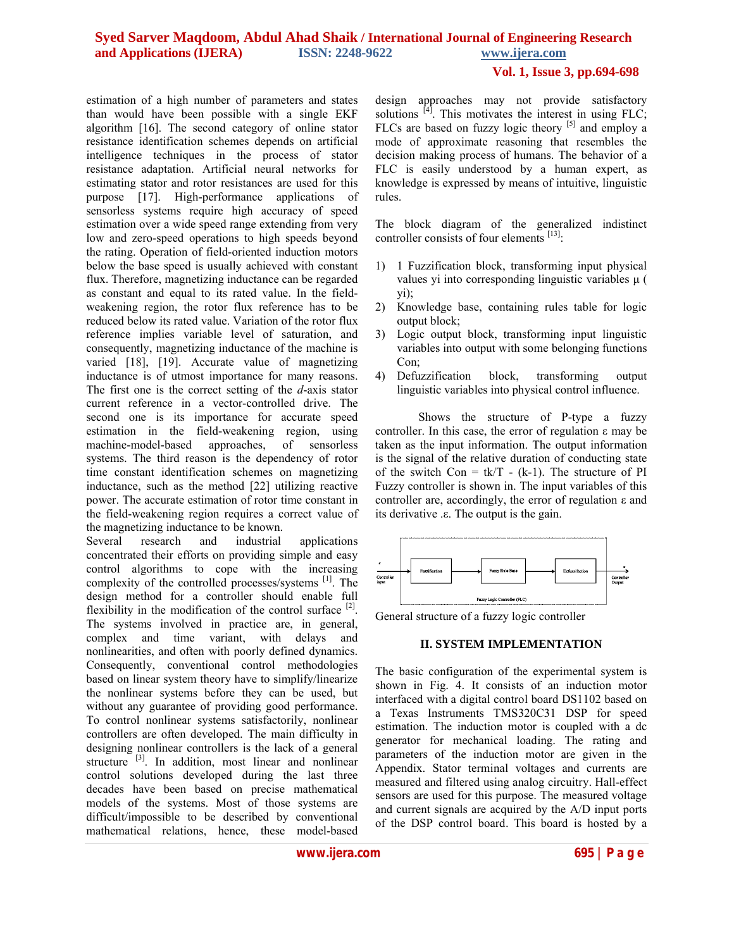## **Vol. 1, Issue 3, pp.694-698**

estimation of a high number of parameters and states than would have been possible with a single EKF algorithm [16]. The second category of online stator resistance identification schemes depends on artificial intelligence techniques in the process of stator resistance adaptation. Artificial neural networks for estimating stator and rotor resistances are used for this purpose [17]. High-performance applications of sensorless systems require high accuracy of speed estimation over a wide speed range extending from very low and zero-speed operations to high speeds beyond the rating. Operation of field-oriented induction motors below the base speed is usually achieved with constant flux. Therefore, magnetizing inductance can be regarded as constant and equal to its rated value. In the fieldweakening region, the rotor flux reference has to be reduced below its rated value. Variation of the rotor flux reference implies variable level of saturation, and consequently, magnetizing inductance of the machine is varied [18], [19]. Accurate value of magnetizing inductance is of utmost importance for many reasons. The first one is the correct setting of the *d*-axis stator current reference in a vector-controlled drive. The second one is its importance for accurate speed estimation in the field-weakening region, using machine-model-based approaches, of sensorless systems. The third reason is the dependency of rotor time constant identification schemes on magnetizing inductance, such as the method [22] utilizing reactive power. The accurate estimation of rotor time constant in the field-weakening region requires a correct value of the magnetizing inductance to be known.

Several research and industrial applications concentrated their efforts on providing simple and easy control algorithms to cope with the increasing complexity of the controlled processes/systems  $[1]$ . The design method for a controller should enable full flexibility in the modification of the control surface  $[2]$ . The systems involved in practice are, in general, complex and time variant, with delays and nonlinearities, and often with poorly defined dynamics. Consequently, conventional control methodologies based on linear system theory have to simplify/linearize the nonlinear systems before they can be used, but without any guarantee of providing good performance. To control nonlinear systems satisfactorily, nonlinear controllers are often developed. The main difficulty in designing nonlinear controllers is the lack of a general structure <sup>[3]</sup>. In addition, most linear and nonlinear control solutions developed during the last three decades have been based on precise mathematical models of the systems. Most of those systems are difficult/impossible to be described by conventional mathematical relations, hence, these model-based design approaches may not provide satisfactory solutions <sup>[4]</sup>. This motivates the interest in using FLC: FLCs are based on fuzzy logic theory  $[5]$  and employ a mode of approximate reasoning that resembles the decision making process of humans. The behavior of a FLC is easily understood by a human expert, as knowledge is expressed by means of intuitive, linguistic rules.

The block diagram of the generalized indistinct controller consists of four elements  $^{[13]}$ :

- 1) 1 Fuzzification block, transforming input physical values yi into corresponding linguistic variables μ ( yi);
- 2) Knowledge base, containing rules table for logic output block;
- 3) Logic output block, transforming input linguistic variables into output with some belonging functions Con;
- 4) Defuzzification block, transforming output linguistic variables into physical control influence.

Shows the structure of P-type a fuzzy controller. In this case, the error of regulation ε may be taken as the input information. The output information is the signal of the relative duration of conducting state of the switch Con =  $tk/T - (k-1)$ . The structure of PI Fuzzy controller is shown in. The input variables of this controller are, accordingly, the error of regulation ε and its derivative .ε. The output is the gain.



General structure of a fuzzy logic controller

#### **II. SYSTEM IMPLEMENTATION**

The basic configuration of the experimental system is shown in Fig. 4. It consists of an induction motor interfaced with a digital control board DS1102 based on a Texas Instruments TMS320C31 DSP for speed estimation. The induction motor is coupled with a dc generator for mechanical loading. The rating and parameters of the induction motor are given in the Appendix. Stator terminal voltages and currents are measured and filtered using analog circuitry. Hall-effect sensors are used for this purpose. The measured voltage and current signals are acquired by the A/D input ports of the DSP control board. This board is hosted by a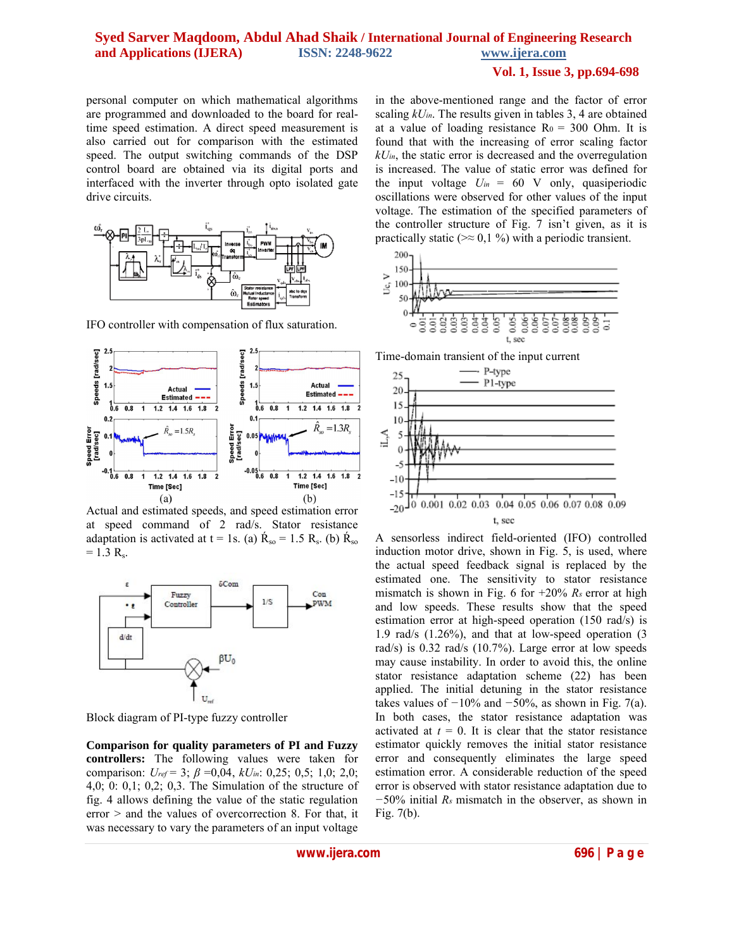#### **Vol. 1, Issue 3, pp.694-698**

personal computer on which mathematical algorithms are programmed and downloaded to the board for realtime speed estimation. A direct speed measurement is also carried out for comparison with the estimated speed. The output switching commands of the DSP control board are obtained via its digital ports and interfaced with the inverter through opto isolated gate drive circuits.



IFO controller with compensation of flux saturation.



Actual and estimated speeds, and speed estimation error at speed command of 2 rad/s. Stator resistance adaptation is activated at  $t = 1$ s. (a)  $R_{so} = 1.5 R_{s}$ . (b)  $R_{so}$  $= 1.3 R_s$ .



Block diagram of PI-type fuzzy controller

**Comparison for quality parameters of PI and Fuzzy controllers:** The following values were taken for comparison: *Uref* = 3; *β* =0,04, *kUin*: 0,25; 0,5; 1,0; 2,0; 4,0; 0: 0,1; 0,2; 0,3. The Simulation of the structure of fig. 4 allows defining the value of the static regulation error > and the values of overcorrection 8. For that, it was necessary to vary the parameters of an input voltage

in the above-mentioned range and the factor of error scaling *kUin*. The results given in tables 3, 4 are obtained at a value of loading resistance  $Ro = 300$  Ohm. It is found that with the increasing of error scaling factor *kUin*, the static error is decreased and the overregulation is increased. The value of static error was defined for the input voltage  $U_{in} = 60$  V only, quasiperiodic oscillations were observed for other values of the input voltage. The estimation of the specified parameters of the controller structure of Fig. 7 isn't given, as it is practically static ( $\approx 0.1 \%$ ) with a periodic transient.



Time-domain transient of the input current



A sensorless indirect field-oriented (IFO) controlled induction motor drive, shown in Fig. 5, is used, where the actual speed feedback signal is replaced by the estimated one. The sensitivity to stator resistance mismatch is shown in Fig. 6 for +20% *Rs* error at high and low speeds. These results show that the speed estimation error at high-speed operation (150 rad/s) is 1.9 rad/s (1.26%), and that at low-speed operation (3 rad/s) is 0.32 rad/s (10.7%). Large error at low speeds may cause instability. In order to avoid this, the online stator resistance adaptation scheme (22) has been applied. The initial detuning in the stator resistance takes values of *−*10% and *−*50%, as shown in Fig. 7(a). In both cases, the stator resistance adaptation was activated at  $t = 0$ . It is clear that the stator resistance estimator quickly removes the initial stator resistance error and consequently eliminates the large speed estimation error. A considerable reduction of the speed error is observed with stator resistance adaptation due to *−*50% initial *Rs* mismatch in the observer, as shown in Fig. 7(b).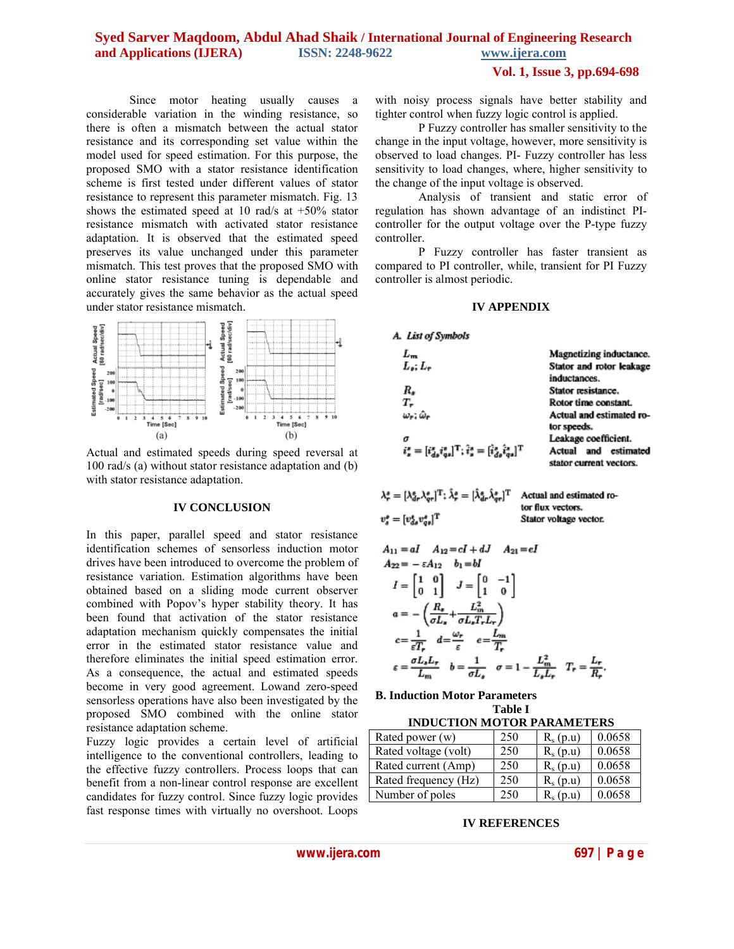## **Vol. 1, Issue 3, pp.694-698**

Since motor heating usually causes a considerable variation in the winding resistance, so there is often a mismatch between the actual stator resistance and its corresponding set value within the model used for speed estimation. For this purpose, the proposed SMO with a stator resistance identification scheme is first tested under different values of stator resistance to represent this parameter mismatch. Fig. 13 shows the estimated speed at 10 rad/s at +50% stator resistance mismatch with activated stator resistance adaptation. It is observed that the estimated speed preserves its value unchanged under this parameter mismatch. This test proves that the proposed SMO with online stator resistance tuning is dependable and accurately gives the same behavior as the actual speed under stator resistance mismatch.



Actual and estimated speeds during speed reversal at 100 rad/s (a) without stator resistance adaptation and (b) with stator resistance adaptation.

#### **IV CONCLUSION**

In this paper, parallel speed and stator resistance identification schemes of sensorless induction motor drives have been introduced to overcome the problem of resistance variation. Estimation algorithms have been obtained based on a sliding mode current observer combined with Popov's hyper stability theory. It has been found that activation of the stator resistance adaptation mechanism quickly compensates the initial error in the estimated stator resistance value and therefore eliminates the initial speed estimation error. As a consequence, the actual and estimated speeds become in very good agreement. Lowand zero-speed sensorless operations have also been investigated by the proposed SMO combined with the online stator resistance adaptation scheme.

Fuzzy logic provides a certain level of artificial intelligence to the conventional controllers, leading to the effective fuzzy controllers. Process loops that can benefit from a non-linear control response are excellent candidates for fuzzy control. Since fuzzy logic provides fast response times with virtually no overshoot. Loops with noisy process signals have better stability and tighter control when fuzzy logic control is applied.

P Fuzzy controller has smaller sensitivity to the change in the input voltage, however, more sensitivity is observed to load changes. PI- Fuzzy controller has less sensitivity to load changes, where, higher sensitivity to the change of the input voltage is observed.

Analysis of transient and static error of regulation has shown advantage of an indistinct PIcontroller for the output voltage over the P-type fuzzy controller.

P Fuzzy controller has faster transient as compared to PI controller, while, transient for PI Fuzzy controller is almost periodic.

#### **IV APPENDIX**

| A. List of Symbols                                                                                       |                                                    |  |  |
|----------------------------------------------------------------------------------------------------------|----------------------------------------------------|--|--|
| $L_m$                                                                                                    | Magnetizing inductance.                            |  |  |
| $L_1: L_2$                                                                                               | Stator and rotor leakage<br>inductances.           |  |  |
| R.                                                                                                       | Stator resistance.                                 |  |  |
| т.                                                                                                       | Rotor time constant.                               |  |  |
| $\omega_r$ : $\hat{\omega}_r$                                                                            | Actual and estimated ro-<br>tor speeds.            |  |  |
| σ                                                                                                        | Leakage coefficient.                               |  |  |
| $i_s^s = [\hat{i}_{ds}^s \hat{i}_{qs}^s]^{\rm T}; \hat{i}_s^s = [\hat{i}_{ds}^s \hat{i}_{qs}^s]^{\rm T}$ | and estimated<br>Actual<br>stator current vectors. |  |  |

| $\lambda_r^*=[\lambda_{dr}^*\lambda_{sr}^*]^{\rm T};$ $\hat{\lambda}_{r}^*=[\hat{\lambda}_{dr}^*\hat{\lambda}_{sr}^*]^{\rm T}$ | Actual and estimated ro- |  |
|--------------------------------------------------------------------------------------------------------------------------------|--------------------------|--|
|                                                                                                                                | tor flux vectors.        |  |
| $v_s^s = [v_{ds}^s v_{as}^s]^{\rm T}$                                                                                          | Stator voltage vector.   |  |

$$
A_{11} = aI \t A_{12} = cI + dJ \t A_{21} = eI
$$
  
\n
$$
A_{22} = -\varepsilon A_{12} \t b_1 = bI
$$
  
\n
$$
I = \begin{bmatrix} 1 & 0 \\ 0 & 1 \end{bmatrix} \t J = \begin{bmatrix} 0 & -1 \\ 1 & 0 \end{bmatrix}
$$
  
\n
$$
a = -\left(\frac{R_*}{\sigma L_*} + \frac{L_m^2}{\sigma L_* T_r L_r}\right)
$$
  
\n
$$
c = \frac{1}{\varepsilon T_r} \t d = \frac{\omega_r}{\varepsilon} \t e = \frac{L_m}{T_r}
$$
  
\n
$$
\varepsilon = \frac{\sigma L_s L_r}{L_m} \t b = \frac{1}{\sigma L_*} \t \sigma = 1 - \frac{L_m^2}{L_* L_*} \t T_r = \frac{L_r}{R_*}
$$

**B. Induction Motor Parameters Table I**

| Rated power (w)      | 250 | $R_s(p.u)$ | 0.0658 |  |
|----------------------|-----|------------|--------|--|
| Rated voltage (volt) | 250 | $R_s(p.u)$ | 0.0658 |  |
| Rated current (Amp)  | 250 | $R_s(p.u)$ | 0.0658 |  |
| Rated frequency (Hz) | 250 | $R_s(p.u)$ | 0.0658 |  |
| Number of poles      | 250 | $R_s(p.u)$ | 0.0658 |  |

#### **IV REFERENCES**